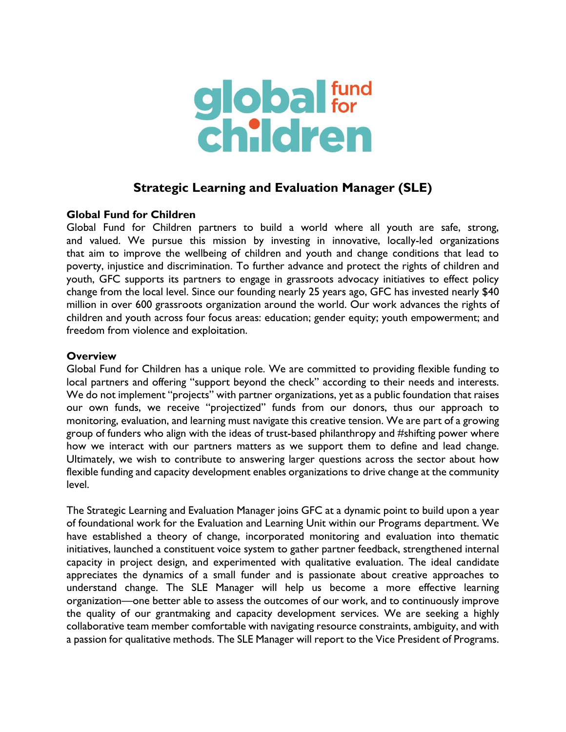

# **Strategic Learning and Evaluation Manager (SLE)**

#### **Global Fund for Children**

Global Fund for Children partners to build a world where all youth are safe, strong, and valued. We pursue this mission by investing in innovative, locally-led organizations that aim to improve the wellbeing of children and youth and change conditions that lead to poverty, injustice and discrimination. To further advance and protect the rights of children and youth, GFC supports its partners to engage in grassroots advocacy initiatives to effect policy change from the local level. Since our founding nearly 25 years ago, GFC has invested nearly \$40 million in over 600 grassroots organization around the world. Our work advances the rights of children and youth across four focus areas: education; gender equity; youth empowerment; and freedom from violence and exploitation.

#### **Overview**

Global Fund for Children has a unique role. We are committed to providing flexible funding to local partners and offering "support beyond the check" according to their needs and interests. We do not implement "projects" with partner organizations, yet as a public foundation that raises our own funds, we receive "projectized" funds from our donors, thus our approach to monitoring, evaluation, and learning must navigate this creative tension. We are part of a growing group of funders who align with the ideas of trust-based philanthropy and #shifting power where how we interact with our partners matters as we support them to define and lead change. Ultimately, we wish to contribute to answering larger questions across the sector about how flexible funding and capacity development enables organizations to drive change at the community level.

The Strategic Learning and Evaluation Manager joins GFC at a dynamic point to build upon a year of foundational work for the Evaluation and Learning Unit within our Programs department. We have established a theory of change, incorporated monitoring and evaluation into thematic initiatives, launched a constituent voice system to gather partner feedback, strengthened internal capacity in project design, and experimented with qualitative evaluation. The ideal candidate appreciates the dynamics of a small funder and is passionate about creative approaches to understand change. The SLE Manager will help us become a more effective learning organization—one better able to assess the outcomes of our work, and to continuously improve the quality of our grantmaking and capacity development services. We are seeking a highly collaborative team member comfortable with navigating resource constraints, ambiguity, and with a passion for qualitative methods. The SLE Manager will report to the Vice President of Programs.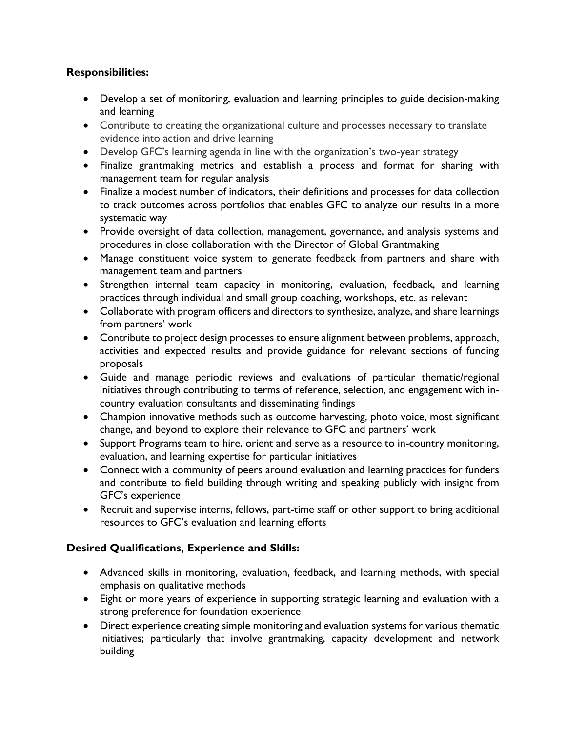## **Responsibilities:**

- Develop a set of monitoring, evaluation and learning principles to guide decision-making and learning
- Contribute to creating the organizational culture and processes necessary to translate evidence into action and drive learning
- Develop GFC's learning agenda in line with the organization's two-year strategy
- Finalize grantmaking metrics and establish a process and format for sharing with management team for regular analysis
- Finalize a modest number of indicators, their definitions and processes for data collection to track outcomes across portfolios that enables GFC to analyze our results in a more systematic way
- Provide oversight of data collection, management, governance, and analysis systems and procedures in close collaboration with the Director of Global Grantmaking
- Manage constituent voice system to generate feedback from partners and share with management team and partners
- Strengthen internal team capacity in monitoring, evaluation, feedback, and learning practices through individual and small group coaching, workshops, etc. as relevant
- Collaborate with program officers and directors to synthesize, analyze, and share learnings from partners' work
- Contribute to project design processes to ensure alignment between problems, approach, activities and expected results and provide guidance for relevant sections of funding proposals
- Guide and manage periodic reviews and evaluations of particular thematic/regional initiatives through contributing to terms of reference, selection, and engagement with incountry evaluation consultants and disseminating findings
- Champion innovative methods such as outcome harvesting, photo voice, most significant change, and beyond to explore their relevance to GFC and partners' work
- Support Programs team to hire, orient and serve as a resource to in-country monitoring, evaluation, and learning expertise for particular initiatives
- Connect with a community of peers around evaluation and learning practices for funders and contribute to field building through writing and speaking publicly with insight from GFC's experience
- Recruit and supervise interns, fellows, part-time staff or other support to bring additional resources to GFC's evaluation and learning efforts

## **Desired Qualifications, Experience and Skills:**

- Advanced skills in monitoring, evaluation, feedback, and learning methods, with special emphasis on qualitative methods
- Eight or more years of experience in supporting strategic learning and evaluation with a strong preference for foundation experience
- Direct experience creating simple monitoring and evaluation systems for various thematic initiatives; particularly that involve grantmaking, capacity development and network building